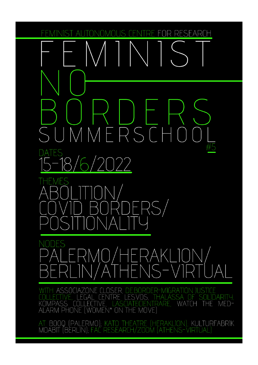RESEARCH  $\mathsf{A}$ **JTONOMOLIS** 

# MM RSC F

FS

OSER. DE:BORDER-MIGRATION JUSTICE  $\int_{\mathbb{R}} \Delta$ CENTRE I FSVOS THALASSA OF SOLIDARITY WATCH THE LASCIATECIENTRARE, KOMPASS COLLECTI MED-VF ALARM PHONE (WOMEN\* ON THE MOVE)

AT: BOOQ (PALERMO); KATO THEATRE (HERAKLION); KULTURFABRIK<br>MOABIT (BERLIN); FAC RESEARCH/ZOOM (ATHENS-VIRTUAL)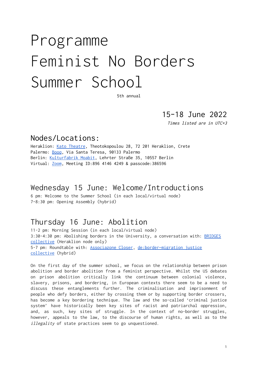# Programme Feminist No Borders Summer School

5th annual

15–18 June 2022

Times listed are in UTC+3

#### Nodes/Locations:

Heraklion: Kato [Theatre](https://www.facebook.com/katwtheater/), Theotokopoulou 28, 72 201 Heraklion, Crete Palermo: [Booq](https://www.booqpa.org/), Via Santa Teresa, 90133 Palermo Berlin: [Kulturfabrik](https://kulturfabrik-moabit.de) Moabit, Lehrter Straße 35, 10557 Berlin Virtual: [Zoom](https://us02web.zoom.us/j/89641464249?pwd=QVZ0V3hyUlJRc0NhTG9zdW9hNmlWQT09), Meeting ID:896 4146 4249 & passcode:386596

#### Wednesday 15 June: Welcome/Introductions

6 pm: Welcome to the Summer School (in each local/virtual node) 7–8:30 pm: Opening Assembly (hybrid)

### Thursday 16 June: Abolition

11-2 pm: Morning Session (in each local/virtual node) 3:30-4:30 pm: Abolishing borders in the University, a conversation with: [BRIDGES](https://buildingbridges.space) [collective](https://buildingbridges.space) (Heraklion node only) 5-7 pm: Roundtable with: [Associazone](https://www.associazionecloser.org/) Closer, [de:border—migration](https://drive.google.com/file/d/13u9zGzQPvY-10ZVKVr1bBGS0dpEmJdz1/view?usp=sharing) justice [collective](https://drive.google.com/file/d/13u9zGzQPvY-10ZVKVr1bBGS0dpEmJdz1/view?usp=sharing) (hybrid)

On the first day of the summer school, we focus on the relationship between prison abolition and border abolition from a feminist perspective. Whilst the US debates on prison abolition critically link the continuum between colonial violence, slavery, prisons, and bordering, in European contexts there seem to be a need to discuss these entanglements further. The criminalisation and imprisonment of people who defy borders, either by crossing them or by supporting border crossers, has become a key bordering technique. The law and the so-called 'criminal justice system' have historically been key sites of racist and patriarchal oppression, and, as such, key sites of struggle. In the context of no-border struggles, however, appeals to the law, to the discourse of human rights, as well as to the illegality of state practices seem to go unquestioned.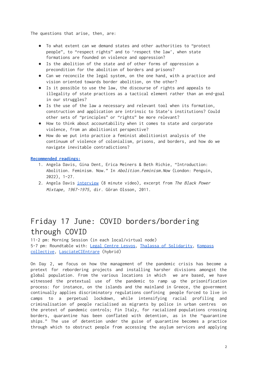The questions that arise, then, are:

- To what extent can we demand states and other authorities to "protect people", to "respect rights" and to 'respect the law', when state formations are founded on violence and oppression?
- Is the abolition of the state and of other forms of oppression a precondition for the abolition of borders and prisons?
- Can we reconcile the legal system, on the one hand, with a practice and vision oriented towards border abolition, on the other?
- Is it possible to use the law, the discourse of rights and appeals to illegality of state practices as a tactical element rather than an end-goal in our struggles?
- Is the use of the law a necessary and relevant tool when its formation, construction and application are intrinsic to State's institutions? Could other sets of "principles" or "rights" be more relevant?
- How to think about accountability when it comes to state and corporate violence, from an abolitionist perspective?
- How do we put into practice a feminist abolitionist analysis of the continuum of violence of colonialism, prisons, and borders, and how do we navigate inevitable contradictions?

#### **[Recommended](https://drive.google.com/drive/folders/1nO-dpnb4uETskgluWUWARG2_yzZ1INxM?usp=sharing) readings:**

- 1. Angela Davis, Gina Dent, Erica Meiners & Beth Richie, "Introduction: Abolition. Feminism. Now." In Abolition.Feminism.Now (London: Penguin, 2022), 1–27.
- 2. Angela Davis [interview](https://youtu.be/R2BIZy0HScM) (8 minute video), excerpt from The Black Power Mixtape, 1967-1975, dir. Göran Olsson, 2011.

# Friday 17 June: COVID borders/bordering through COVID

11-2 pm: Morning Session (in each local/virtual node) 5-7 pm: Roundtable with: Legal Centre [Lesvos,](https://legalcentrelesvos.org/) Thalassa of [Solidarity,](https://thalassa-solidarity.org/?lang=en) [Kompass](https://www.facebook.com/Kompas071Sarajevo/) [collective,](https://www.facebook.com/Kompas071Sarajevo/) [LasciateCIEntrare](https://www.lasciatecientrare.it) (hybrid)

On Day 2, we focus on how the management of the pandemic crisis has become a pretext for rebordering projects and installing harsher divisions amongst the global population. From the various locations in which we are based, we have witnessed the pretextual use of the pandemic to ramp up the prisonification process: for instance, on the islands and the mainland in Greece, the government continually applies discriminatory regulations confining people forced to live in camps to a perpetual lockdown, while intensifying racial profiling and criminalisation of people racialised as migrants by police in urban centres on the pretext of pandemic controls; Fin Italy, for racialized populations crossing borders, quarantine has been conflated with detention, as in the "quarantine ships." The use of detention under the guise of quarantine becomes a practice through which to obstruct people from accessing the asylum services and applying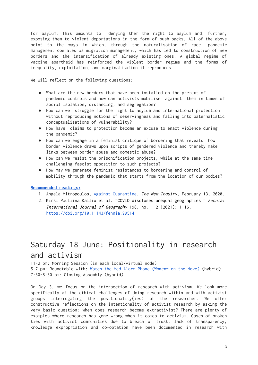for asylum. This amounts to denying them the right to asylum and, further, exposing them to violent deportations in the form of push-backs. All of the above point to the ways in which, through the naturalisation of race, pandemic management operates as migration management, which has led to construction of new borders and the intensification of already existing ones. A global regime of vaccine apartheid has reinforced the violent border regime and the forms of inequality, exploitation, and marginalisation it reproduces.

We will reflect on the following questions:

- What are the new borders that have been installed on the pretext of pandemic controls and how can activists mobilise against them in times of social isolation, distancing, and segregation?
- How can we struggle for the right to asylum and international protection without reproducing notions of deservingness and falling into paternalistic conceptualisations of vulnerability?
- How have claims to protection become an excuse to enact violence during the pandemic?
- How can we engage in a feminist critique of bordering that reveals how border violence draws upon scripts of gendered violence and thereby make links between border abuse and domestic abuse?
- How can we resist the prisonification projects, while at the same time challenging fascist opposition to such projects?
- How may we generate feminist resistances to bordering and control of mobility through the pandemic that starts from the location of our bodies?

#### **[Recommended](https://drive.google.com/drive/folders/13DiGyP9sPqRwEGMg1ZnH1vFv2T2ETXfo?usp=sharing) readings:**

- 1. Angela Mitropoulos, Against [Quarantine.](https://thenewinquiry.com/against-quarantine/) The New Inquiry, February 13, 2020.
- 2. Kirsi Pauliina Kallio et al. "COVID discloses unequal geographies." Fennia: International Journal of Geography 198, no. 1-2 (2021): 1-16, <https://doi.org/10.11143/fennia.99514>

# Saturday 18 June: Positionality in research and activism

11-2 pm: Morning Session (in each local/virtual node) 5-7 pm: Roundtable with: Watch the [Med—Alarm](https://alarmphone.org/en/) Phone (Women\* on the Move) (hybrid) 7:30-8:30 pm: Closing Assembly (hybrid)

On Day 3, we focus on the intersection of research with activism. We look more specifically at the ethical challenges of doing research within and with activist groups interrogating the positionality(ies) of the researcher. We offer constructive reflections on the intentionality of activist research by asking the very basic question: when does research become extractivist? There are plenty of examples where research has gone wrong when it comes to activism. Cases of broken ties with activist communities due to breach of trust, lack of transparency, knowledge expropriation and co-optation have been documented in research with